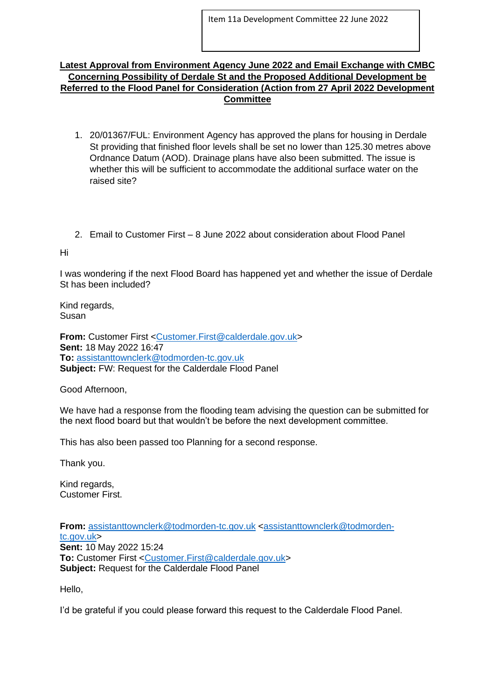## **Latest Approval from Environment Agency June 2022 and Email Exchange with CMBC Concerning Possibility of Derdale St and the Proposed Additional Development be Referred to the Flood Panel for Consideration (Action from 27 April 2022 Development Committee**

- 1. 20/01367/FUL: Environment Agency has approved the plans for housing in Derdale St providing that finished floor levels shall be set no lower than 125.30 metres above Ordnance Datum (AOD). Drainage plans have also been submitted. The issue is whether this will be sufficient to accommodate the additional surface water on the raised site?
- 2. Email to Customer First 8 June 2022 about consideration about Flood Panel

Hi

I was wondering if the next Flood Board has happened yet and whether the issue of Derdale St has been included?

Kind regards, Susan

**From:** Customer First [<Customer.First@calderdale.gov.uk>](mailto:Customer.First@calderdale.gov.uk) **Sent:** 18 May 2022 16:47 **To:** [assistanttownclerk@todmorden-tc.gov.uk](mailto:assistanttownclerk@todmorden-tc.gov.uk) **Subject:** FW: Request for the Calderdale Flood Panel

Good Afternoon,

We have had a response from the flooding team advising the question can be submitted for the next flood board but that wouldn't be before the next development committee.

This has also been passed too Planning for a second response.

Thank you.

Kind regards, Customer First.

**From:** [assistanttownclerk@todmorden-tc.gov.uk](mailto:assistanttownclerk@todmorden-tc.gov.uk) [<assistanttownclerk@todmorden](mailto:assistanttownclerk@todmorden-tc.gov.uk)[tc.gov.uk>](mailto:assistanttownclerk@todmorden-tc.gov.uk) **Sent:** 10 May 2022 15:24 **To:** Customer First [<Customer.First@calderdale.gov.uk>](mailto:Customer.First@calderdale.gov.uk) **Subject:** Request for the Calderdale Flood Panel

Hello,

I'd be grateful if you could please forward this request to the Calderdale Flood Panel.